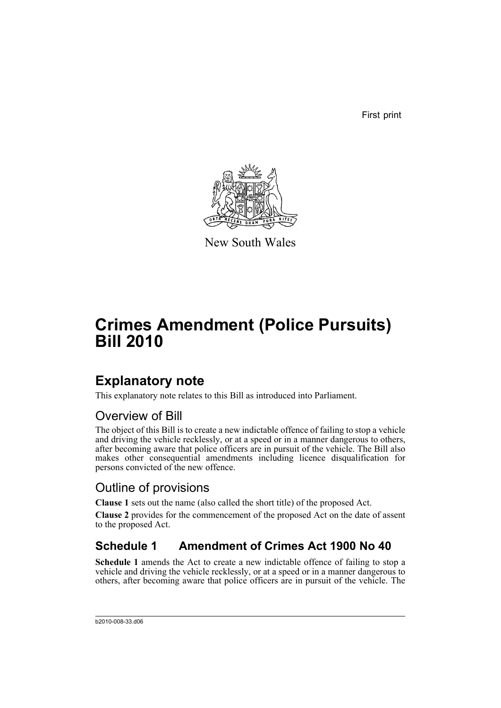First print



New South Wales

# **Crimes Amendment (Police Pursuits) Bill 2010**

## **Explanatory note**

This explanatory note relates to this Bill as introduced into Parliament.

### Overview of Bill

The object of this Bill is to create a new indictable offence of failing to stop a vehicle and driving the vehicle recklessly, or at a speed or in a manner dangerous to others, after becoming aware that police officers are in pursuit of the vehicle. The Bill also makes other consequential amendments including licence disqualification for persons convicted of the new offence.

### Outline of provisions

**Clause 1** sets out the name (also called the short title) of the proposed Act.

**Clause 2** provides for the commencement of the proposed Act on the date of assent to the proposed Act.

### **Schedule 1 Amendment of Crimes Act 1900 No 40**

**Schedule 1** amends the Act to create a new indictable offence of failing to stop a vehicle and driving the vehicle recklessly, or at a speed or in a manner dangerous to others, after becoming aware that police officers are in pursuit of the vehicle. The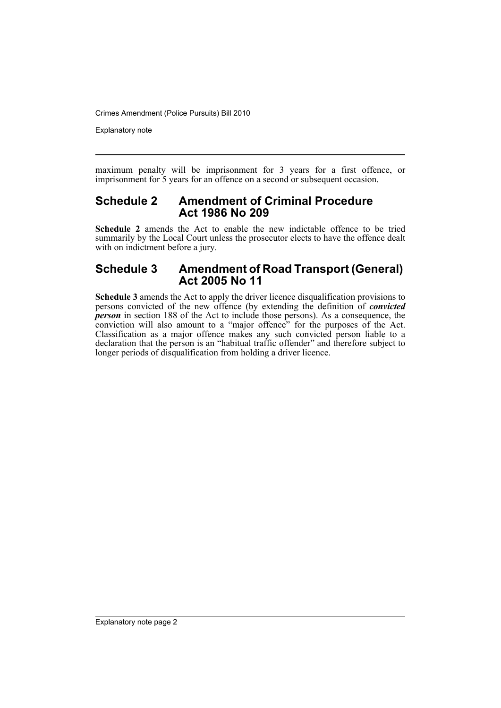Explanatory note

maximum penalty will be imprisonment for 3 years for a first offence, or imprisonment for 5 years for an offence on a second or subsequent occasion.

#### **Schedule 2 Amendment of Criminal Procedure Act 1986 No 209**

**Schedule 2** amends the Act to enable the new indictable offence to be tried summarily by the Local Court unless the prosecutor elects to have the offence dealt with on indictment before a jury.

#### **Schedule 3 Amendment of Road Transport (General) Act 2005 No 11**

**Schedule 3** amends the Act to apply the driver licence disqualification provisions to persons convicted of the new offence (by extending the definition of *convicted person* in section 188 of the Act to include those persons). As a consequence, the conviction will also amount to a "major offence" for the purposes of the Act. Classification as a major offence makes any such convicted person liable to a declaration that the person is an "habitual traffic offender" and therefore subject to longer periods of disqualification from holding a driver licence.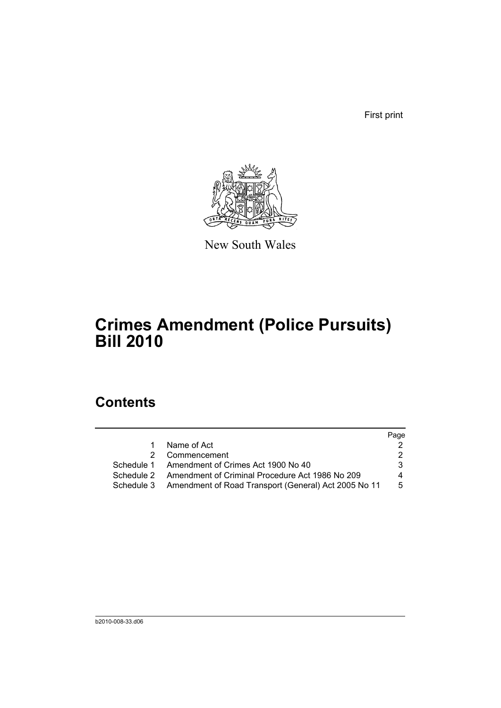First print



New South Wales

## **Crimes Amendment (Police Pursuits) Bill 2010**

### **Contents**

|                                                                 | Page |
|-----------------------------------------------------------------|------|
| Name of Act                                                     |      |
| 2 Commencement                                                  | 2.   |
| Schedule 1 Amendment of Crimes Act 1900 No 40                   | 3.   |
| Schedule 2 Amendment of Criminal Procedure Act 1986 No 209      | 4    |
| Schedule 3 Amendment of Road Transport (General) Act 2005 No 11 | 5    |
|                                                                 |      |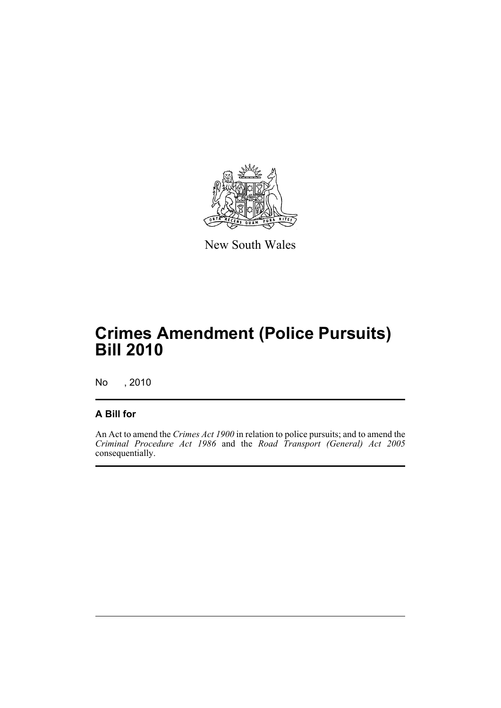

New South Wales

## **Crimes Amendment (Police Pursuits) Bill 2010**

No , 2010

#### **A Bill for**

An Act to amend the *Crimes Act 1900* in relation to police pursuits; and to amend the *Criminal Procedure Act 1986* and the *Road Transport (General) Act 2005* consequentially.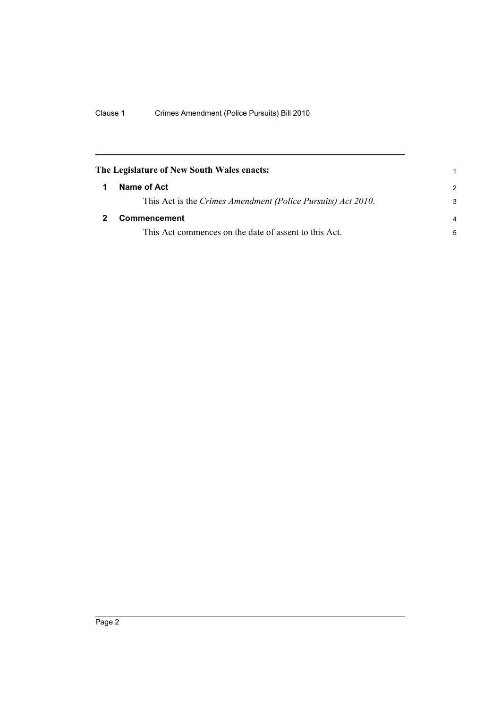<span id="page-5-1"></span><span id="page-5-0"></span>

| The Legislature of New South Wales enacts:                   |                |
|--------------------------------------------------------------|----------------|
| Name of Act                                                  | $\mathcal{P}$  |
| This Act is the Crimes Amendment (Police Pursuits) Act 2010. | 3              |
| Commencement                                                 | $\overline{a}$ |
| This Act commences on the date of assent to this Act.        | 5              |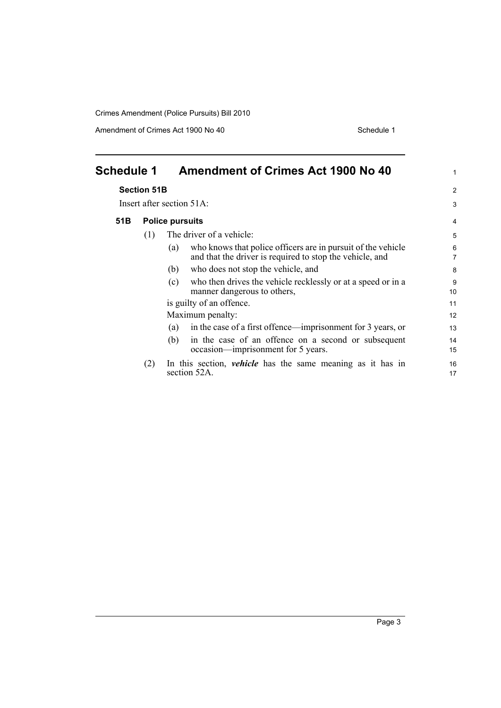Amendment of Crimes Act 1900 No 40 Schedule 1

<span id="page-6-0"></span>

| <b>Schedule 1</b> |                    | <b>Amendment of Crimes Act 1900 No 40</b>                                                                                       | $\mathbf{1}$        |
|-------------------|--------------------|---------------------------------------------------------------------------------------------------------------------------------|---------------------|
|                   | <b>Section 51B</b> |                                                                                                                                 | 2                   |
|                   |                    | Insert after section $51A$ :                                                                                                    | 3                   |
| 51B               |                    | <b>Police pursuits</b>                                                                                                          | 4                   |
|                   | (1)                | The driver of a vehicle:                                                                                                        | 5                   |
|                   |                    | who knows that police officers are in pursuit of the vehicle<br>(a)<br>and that the driver is required to stop the vehicle, and | 6<br>$\overline{7}$ |
|                   |                    | who does not stop the vehicle, and<br>(b)                                                                                       | 8                   |
|                   |                    | who then drives the vehicle recklessly or at a speed or in a<br>(c)<br>manner dangerous to others,                              | 9<br>10             |
|                   |                    | is guilty of an offence.                                                                                                        | 11                  |
|                   |                    | Maximum penalty:                                                                                                                | 12                  |
|                   |                    | in the case of a first offence—imprisonment for 3 years, or<br>(a)                                                              | 13                  |
|                   |                    | in the case of an offence on a second or subsequent<br>(b)<br>occasion—imprisonment for 5 years.                                | 14<br>15            |
|                   | (2)                | In this section, <i>vehicle</i> has the same meaning as it has in<br>section 52A.                                               | 16<br>17            |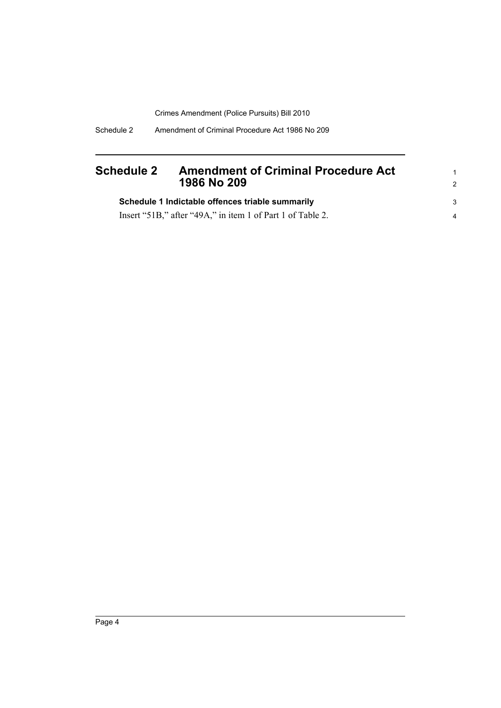#### <span id="page-7-0"></span>**Schedule 2 Amendment of Criminal Procedure Act 1986 No 209**

| Schedule 1 Indictable offences triable summarily           |  |
|------------------------------------------------------------|--|
| Insert "51B," after "49A," in item 1 of Part 1 of Table 2. |  |

1 2

3 4